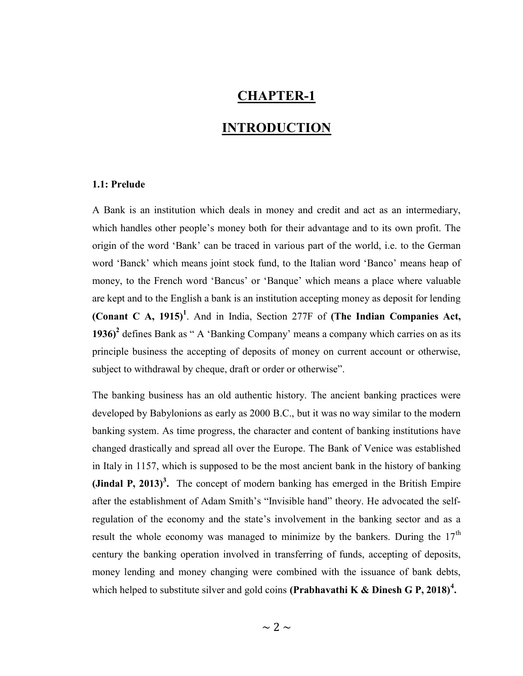## CHAPTER-1

## INTRODUCTION

## 1.1: Prelude

A Bank is an institution which deals in money and credit and act as an intermediary, which handles other people's money both for their advantage and to its own profit. The origin of the word 'Bank' can be traced in various part of the world, i.e. to the German word 'Banck' which means joint stock fund, to the Italian word 'Banco' means heap of money, to the French word 'Bancus' or 'Banque' which means a place where valuable are kept and to the English a bank is an institution accepting money as deposit for lending (Conant C A, 1915)<sup>1</sup>. And in India, Section 277F of (The Indian Companies Act, 1936)<sup>2</sup> defines Bank as " A 'Banking Company' means a company which carries on as its principle business the accepting of deposits of money on current account or otherwise, subject to withdrawal by cheque, draft or order or otherwise".

The banking business has an old authentic history. The ancient banking practices were developed by Babylonions as early as 2000 B.C., but it was no way similar to the modern banking system. As time progress, the character and content of banking institutions have changed drastically and spread all over the Europe. The Bank of Venice was established in Italy in 1157, which is supposed to be the most ancient bank in the history of banking (Jindal P, 2013)<sup>3</sup>. The concept of modern banking has emerged in the British Empire after the establishment of Adam Smith's "Invisible hand" theory. He advocated the selfregulation of the economy and the state's involvement in the banking sector and as a result the whole economy was managed to minimize by the bankers. During the  $17<sup>th</sup>$ century the banking operation involved in transferring of funds, accepting of deposits, money lending and money changing were combined with the issuance of bank debts, which helped to substitute silver and gold coins (Prabhavathi K & Dinesh G P, 2018)<sup>4</sup>.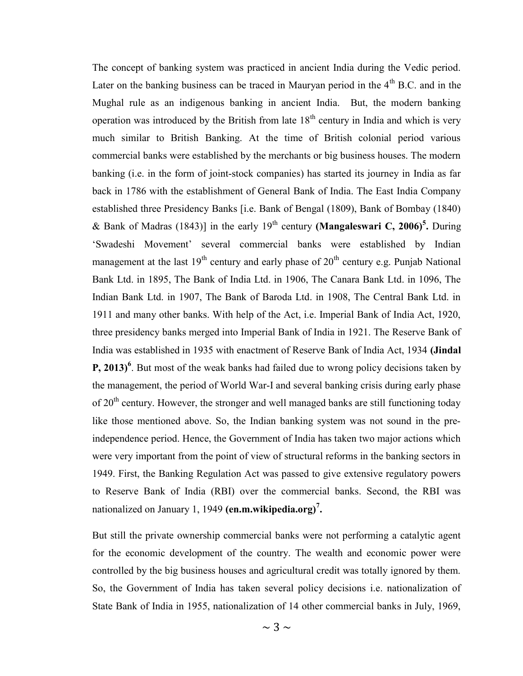The concept of banking system was practiced in ancient India during the Vedic period. Later on the banking business can be traced in Mauryan period in the  $4<sup>th</sup>$  B.C. and in the Mughal rule as an indigenous banking in ancient India. But, the modern banking operation was introduced by the British from late  $18<sup>th</sup>$  century in India and which is very much similar to British Banking. At the time of British colonial period various commercial banks were established by the merchants or big business houses. The modern banking (i.e. in the form of joint-stock companies) has started its journey in India as far back in 1786 with the establishment of General Bank of India. The East India Company established three Presidency Banks [i.e. Bank of Bengal (1809), Bank of Bombay (1840) & Bank of Madras (1843)] in the early 19<sup>th</sup> century (**Mangaleswari C, 2006**)<sup>5</sup>. During 'Swadeshi Movement' several commercial banks were established by Indian management at the last  $19<sup>th</sup>$  century and early phase of  $20<sup>th</sup>$  century e.g. Punjab National Bank Ltd. in 1895, The Bank of India Ltd. in 1906, The Canara Bank Ltd. in 1096, The Indian Bank Ltd. in 1907, The Bank of Baroda Ltd. in 1908, The Central Bank Ltd. in 1911 and many other banks. With help of the Act, i.e. Imperial Bank of India Act, 1920, three presidency banks merged into Imperial Bank of India in 1921. The Reserve Bank of India was established in 1935 with enactment of Reserve Bank of India Act, 1934 (Jindal **P**, 2013)<sup>6</sup>. But most of the weak banks had failed due to wrong policy decisions taken by the management, the period of World War-I and several banking crisis during early phase of 20<sup>th</sup> century. However, the stronger and well managed banks are still functioning today like those mentioned above. So, the Indian banking system was not sound in the preindependence period. Hence, the Government of India has taken two major actions which were very important from the point of view of structural reforms in the banking sectors in 1949. First, the Banking Regulation Act was passed to give extensive regulatory powers to Reserve Bank of India (RBI) over the commercial banks. Second, the RBI was nationalized on January 1, 1949 (en.m.wikipedia.org)<sup>7</sup>.

But still the private ownership commercial banks were not performing a catalytic agent for the economic development of the country. The wealth and economic power were controlled by the big business houses and agricultural credit was totally ignored by them. So, the Government of India has taken several policy decisions i.e. nationalization of State Bank of India in 1955, nationalization of 14 other commercial banks in July, 1969,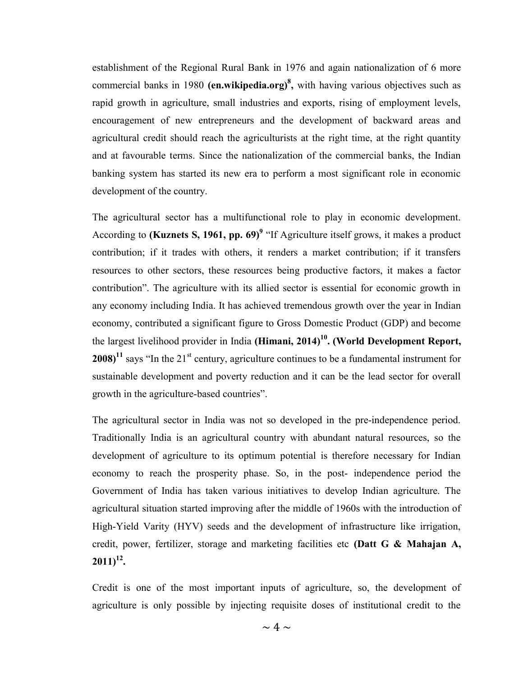establishment of the Regional Rural Bank in 1976 and again nationalization of 6 more commercial banks in 1980 (en.wikipedia.org)<sup>8</sup>, with having various objectives such as rapid growth in agriculture, small industries and exports, rising of employment levels, encouragement of new entrepreneurs and the development of backward areas and agricultural credit should reach the agriculturists at the right time, at the right quantity and at favourable terms. Since the nationalization of the commercial banks, the Indian banking system has started its new era to perform a most significant role in economic development of the country.

The agricultural sector has a multifunctional role to play in economic development. According to (**Kuznets S, 1961, pp. 69**)<sup>9</sup> "If Agriculture itself grows, it makes a product contribution; if it trades with others, it renders a market contribution; if it transfers resources to other sectors, these resources being productive factors, it makes a factor contribution". The agriculture with its allied sector is essential for economic growth in any economy including India. It has achieved tremendous growth over the year in Indian economy, contributed a significant figure to Gross Domestic Product (GDP) and become the largest livelihood provider in India (Himani,  $2014$ )<sup>10</sup>. (World Development Report, 2008)<sup>11</sup> says "In the 21<sup>st</sup> century, agriculture continues to be a fundamental instrument for sustainable development and poverty reduction and it can be the lead sector for overall growth in the agriculture-based countries".

The agricultural sector in India was not so developed in the pre-independence period. Traditionally India is an agricultural country with abundant natural resources, so the development of agriculture to its optimum potential is therefore necessary for Indian economy to reach the prosperity phase. So, in the post- independence period the Government of India has taken various initiatives to develop Indian agriculture. The agricultural situation started improving after the middle of 1960s with the introduction of High-Yield Varity (HYV) seeds and the development of infrastructure like irrigation, credit, power, fertilizer, storage and marketing facilities etc (Datt G & Mahajan A,  $2011)^{12}$ .

Credit is one of the most important inputs of agriculture, so, the development of agriculture is only possible by injecting requisite doses of institutional credit to the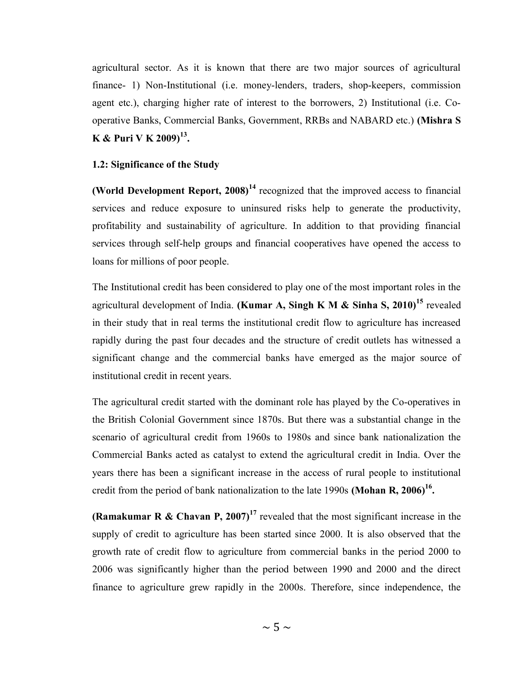agricultural sector. As it is known that there are two major sources of agricultural finance- 1) Non-Institutional (i.e. money-lenders, traders, shop-keepers, commission agent etc.), charging higher rate of interest to the borrowers, 2) Institutional (i.e. Cooperative Banks, Commercial Banks, Government, RRBs and NABARD etc.) (Mishra S K & Puri V K 2009) $^{13}$ .

#### 1.2: Significance of the Study

(World Development Report,  $2008$ )<sup>14</sup> recognized that the improved access to financial services and reduce exposure to uninsured risks help to generate the productivity, profitability and sustainability of agriculture. In addition to that providing financial services through self-help groups and financial cooperatives have opened the access to loans for millions of poor people.

The Institutional credit has been considered to play one of the most important roles in the agricultural development of India. (Kumar A, Singh K M & Sinha S,  $2010$ )<sup>15</sup> revealed in their study that in real terms the institutional credit flow to agriculture has increased rapidly during the past four decades and the structure of credit outlets has witnessed a significant change and the commercial banks have emerged as the major source of institutional credit in recent years.

The agricultural credit started with the dominant role has played by the Co-operatives in the British Colonial Government since 1870s. But there was a substantial change in the scenario of agricultural credit from 1960s to 1980s and since bank nationalization the Commercial Banks acted as catalyst to extend the agricultural credit in India. Over the years there has been a significant increase in the access of rural people to institutional credit from the period of bank nationalization to the late 1990s (Mohan R, 2006)<sup>16</sup>.

(Ramakumar R & Chavan P, 2007)<sup>17</sup> revealed that the most significant increase in the supply of credit to agriculture has been started since 2000. It is also observed that the growth rate of credit flow to agriculture from commercial banks in the period 2000 to 2006 was significantly higher than the period between 1990 and 2000 and the direct finance to agriculture grew rapidly in the 2000s. Therefore, since independence, the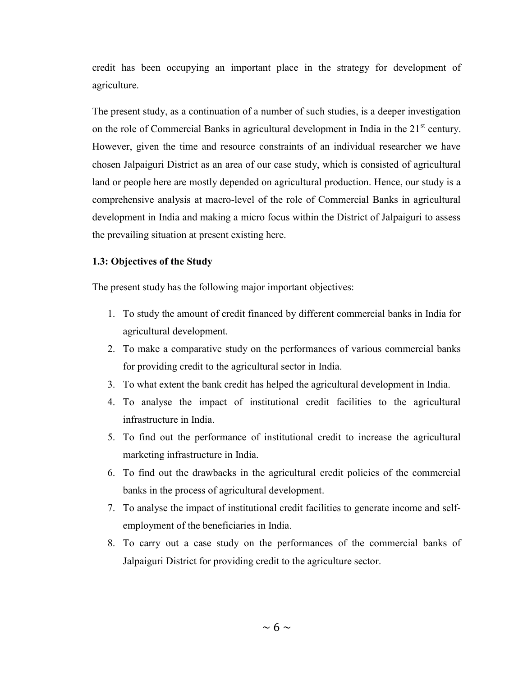credit has been occupying an important place in the strategy for development of agriculture.

The present study, as a continuation of a number of such studies, is a deeper investigation on the role of Commercial Banks in agricultural development in India in the  $21<sup>st</sup>$  century. However, given the time and resource constraints of an individual researcher we have chosen Jalpaiguri District as an area of our case study, which is consisted of agricultural land or people here are mostly depended on agricultural production. Hence, our study is a comprehensive analysis at macro-level of the role of Commercial Banks in agricultural development in India and making a micro focus within the District of Jalpaiguri to assess the prevailing situation at present existing here.

## 1.3: Objectives of the Study

The present study has the following major important objectives:

- 1. To study the amount of credit financed by different commercial banks in India for agricultural development.
- 2. To make a comparative study on the performances of various commercial banks for providing credit to the agricultural sector in India.
- 3. To what extent the bank credit has helped the agricultural development in India.
- 4. To analyse the impact of institutional credit facilities to the agricultural infrastructure in India.
- 5. To find out the performance of institutional credit to increase the agricultural marketing infrastructure in India.
- 6. To find out the drawbacks in the agricultural credit policies of the commercial banks in the process of agricultural development.
- 7. To analyse the impact of institutional credit facilities to generate income and selfemployment of the beneficiaries in India.
- 8. To carry out a case study on the performances of the commercial banks of Jalpaiguri District for providing credit to the agriculture sector.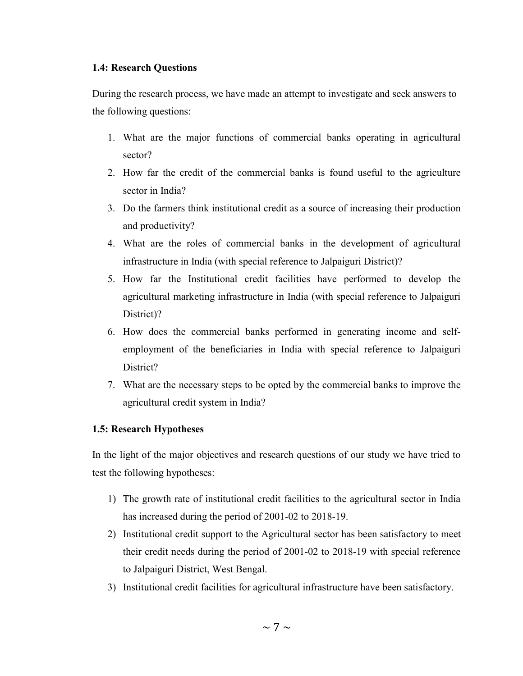## 1.4: Research Questions

During the research process, we have made an attempt to investigate and seek answers to the following questions:

- 1. What are the major functions of commercial banks operating in agricultural sector?
- 2. How far the credit of the commercial banks is found useful to the agriculture sector in India?
- 3. Do the farmers think institutional credit as a source of increasing their production and productivity?
- 4. What are the roles of commercial banks in the development of agricultural infrastructure in India (with special reference to Jalpaiguri District)?
- 5. How far the Institutional credit facilities have performed to develop the agricultural marketing infrastructure in India (with special reference to Jalpaiguri District)?
- 6. How does the commercial banks performed in generating income and selfemployment of the beneficiaries in India with special reference to Jalpaiguri District?
- 7. What are the necessary steps to be opted by the commercial banks to improve the agricultural credit system in India?

## 1.5: Research Hypotheses

In the light of the major objectives and research questions of our study we have tried to test the following hypotheses:

- 1) The growth rate of institutional credit facilities to the agricultural sector in India has increased during the period of 2001-02 to 2018-19.
- 2) Institutional credit support to the Agricultural sector has been satisfactory to meet their credit needs during the period of 2001-02 to 2018-19 with special reference to Jalpaiguri District, West Bengal.
- 3) Institutional credit facilities for agricultural infrastructure have been satisfactory.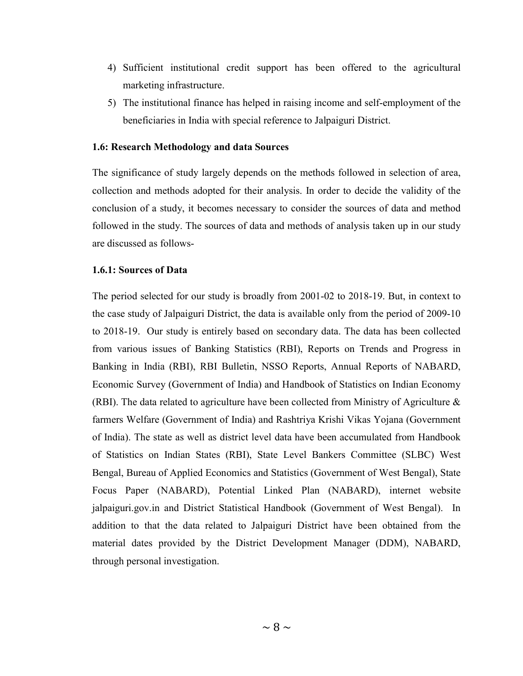- 4) Sufficient institutional credit support has been offered to the agricultural marketing infrastructure.
- 5) The institutional finance has helped in raising income and self-employment of the beneficiaries in India with special reference to Jalpaiguri District.

## 1.6: Research Methodology and data Sources

The significance of study largely depends on the methods followed in selection of area, collection and methods adopted for their analysis. In order to decide the validity of the conclusion of a study, it becomes necessary to consider the sources of data and method followed in the study. The sources of data and methods of analysis taken up in our study are discussed as follows-

#### 1.6.1: Sources of Data

The period selected for our study is broadly from 2001-02 to 2018-19. But, in context to the case study of Jalpaiguri District, the data is available only from the period of 2009-10 to 2018-19. Our study is entirely based on secondary data. The data has been collected from various issues of Banking Statistics (RBI), Reports on Trends and Progress in Banking in India (RBI), RBI Bulletin, NSSO Reports, Annual Reports of NABARD, Economic Survey (Government of India) and Handbook of Statistics on Indian Economy (RBI). The data related to agriculture have been collected from Ministry of Agriculture  $\&$ farmers Welfare (Government of India) and Rashtriya Krishi Vikas Yojana (Government of India). The state as well as district level data have been accumulated from Handbook of Statistics on Indian States (RBI), State Level Bankers Committee (SLBC) West Bengal, Bureau of Applied Economics and Statistics (Government of West Bengal), State Focus Paper (NABARD), Potential Linked Plan (NABARD), internet website jalpaiguri.gov.in and District Statistical Handbook (Government of West Bengal). In addition to that the data related to Jalpaiguri District have been obtained from the material dates provided by the District Development Manager (DDM), NABARD, through personal investigation.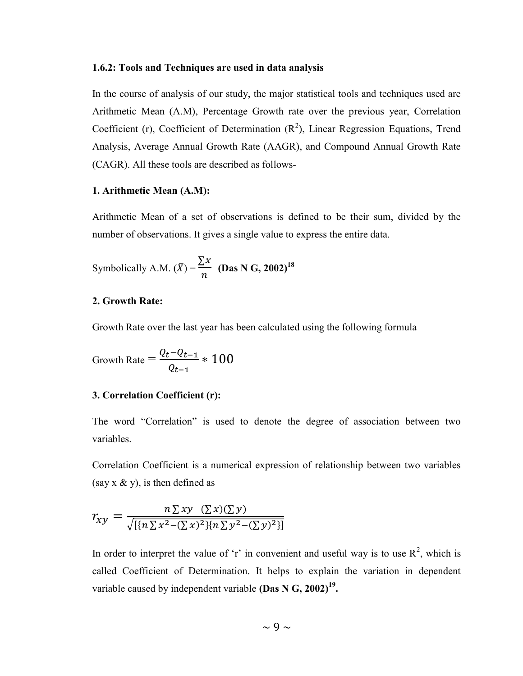#### 1.6.2: Tools and Techniques are used in data analysis

In the course of analysis of our study, the major statistical tools and techniques used are Arithmetic Mean (A.M), Percentage Growth rate over the previous year, Correlation Coefficient (r), Coefficient of Determination  $(R^2)$ , Linear Regression Equations, Trend Analysis, Average Annual Growth Rate (AAGR), and Compound Annual Growth Rate (CAGR). All these tools are described as follows-

#### 1. Arithmetic Mean (A.M):

Arithmetic Mean of a set of observations is defined to be their sum, divided by the number of observations. It gives a single value to express the entire data.

Symbolically A.M. 
$$
(\bar{X}) = \frac{\sum x}{n}
$$
 (Das N G, 2002)<sup>18</sup>

## 2. Growth Rate:

Growth Rate over the last year has been calculated using the following formula

$$
Growth Rate = \frac{Q_t - Q_{t-1}}{Q_{t-1}} * 100
$$

## 3. Correlation Coefficient (r):

The word "Correlation" is used to denote the degree of association between two variables.

Correlation Coefficient is a numerical expression of relationship between two variables (say  $x \& y$ ), is then defined as

$$
r_{xy} = \frac{n \sum xy \ (\sum x)(\sum y)}{\sqrt{\left[\{n \sum x^2 - (\sum x)^2\}\{n \sum y^2 - (\sum y)^2\}\right]}}
$$

In order to interpret the value of 'r' in convenient and useful way is to use  $R^2$ , which is called Coefficient of Determination. It helps to explain the variation in dependent variable caused by independent variable (Das N G, 2002)<sup>19</sup>.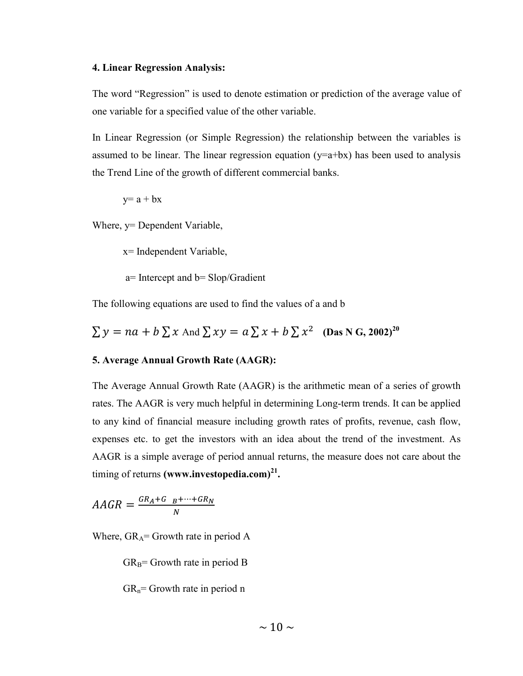#### 4. Linear Regression Analysis:

The word "Regression" is used to denote estimation or prediction of the average value of one variable for a specified value of the other variable.

In Linear Regression (or Simple Regression) the relationship between the variables is assumed to be linear. The linear regression equation ( $y=a+bx$ ) has been used to analysis the Trend Line of the growth of different commercial banks.

$$
y=a+bx
$$

Where, y= Dependent Variable,

x= Independent Variable,

a= Intercept and b= Slop/Gradient

The following equations are used to find the values of a and b

 $\sum y = na + b \sum x$  And  $\sum xy = a \sum x + b \sum x^2$  (Das N G, 2002)<sup>20</sup>

#### 5. Average Annual Growth Rate (AAGR):

The Average Annual Growth Rate (AAGR) is the arithmetic mean of a series of growth rates. The AAGR is very much helpful in determining Long-term trends. It can be applied to any kind of financial measure including growth rates of profits, revenue, cash flow, expenses etc. to get the investors with an idea about the trend of the investment. As AAGR is a simple average of period annual returns, the measure does not care about the timing of returns (www.investopedia.com) $^{21}$ .

$$
AAGR = \frac{GR_A + G_{B} + \dots + GR_N}{N}
$$

Where,  $GR_A = G$ rowth rate in period A

 $GR_B =$  Growth rate in period B

 $GR_n = Growth$  rate in period n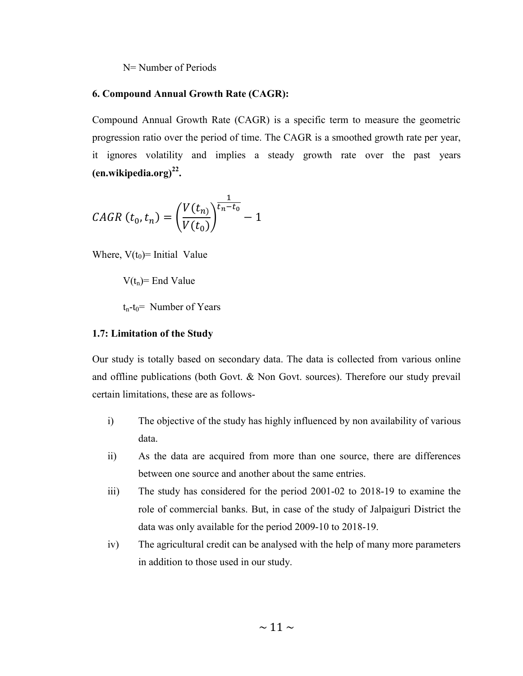#### N= Number of Periods

## 6. Compound Annual Growth Rate (CAGR):

Compound Annual Growth Rate (CAGR) is a specific term to measure the geometric progression ratio over the period of time. The CAGR is a smoothed growth rate per year, it ignores volatility and implies a steady growth rate over the past years  $($ en.wikipedia.org $)^{22}$ .

$$
CAGR(t_0, t_n) = \left(\frac{V(t_n)}{V(t_0)}\right)^{\frac{1}{t_n - t_0}} - 1
$$

Where,  $V(t_0)$ = Initial Value

 $V(t_n)$ = End Value

 $t_n-t_0$ = Number of Years

## 1.7: Limitation of the Study

Our study is totally based on secondary data. The data is collected from various online and offline publications (both Govt. & Non Govt. sources). Therefore our study prevail certain limitations, these are as follows-

- i) The objective of the study has highly influenced by non availability of various data.
- ii) As the data are acquired from more than one source, there are differences between one source and another about the same entries.
- iii) The study has considered for the period 2001-02 to 2018-19 to examine the role of commercial banks. But, in case of the study of Jalpaiguri District the data was only available for the period 2009-10 to 2018-19.
- iv) The agricultural credit can be analysed with the help of many more parameters in addition to those used in our study.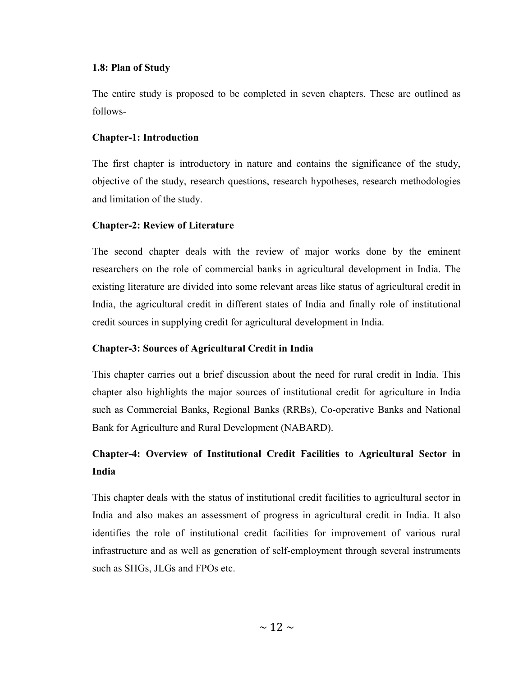## 1.8: Plan of Study

The entire study is proposed to be completed in seven chapters. These are outlined as follows-

## Chapter-1: Introduction

The first chapter is introductory in nature and contains the significance of the study, objective of the study, research questions, research hypotheses, research methodologies and limitation of the study.

## Chapter-2: Review of Literature

The second chapter deals with the review of major works done by the eminent researchers on the role of commercial banks in agricultural development in India. The existing literature are divided into some relevant areas like status of agricultural credit in India, the agricultural credit in different states of India and finally role of institutional credit sources in supplying credit for agricultural development in India.

## Chapter-3: Sources of Agricultural Credit in India

This chapter carries out a brief discussion about the need for rural credit in India. This chapter also highlights the major sources of institutional credit for agriculture in India such as Commercial Banks, Regional Banks (RRBs), Co-operative Banks and National Bank for Agriculture and Rural Development (NABARD).

# Chapter-4: Overview of Institutional Credit Facilities to Agricultural Sector in India

This chapter deals with the status of institutional credit facilities to agricultural sector in India and also makes an assessment of progress in agricultural credit in India. It also identifies the role of institutional credit facilities for improvement of various rural infrastructure and as well as generation of self-employment through several instruments such as SHGs, JLGs and FPOs etc.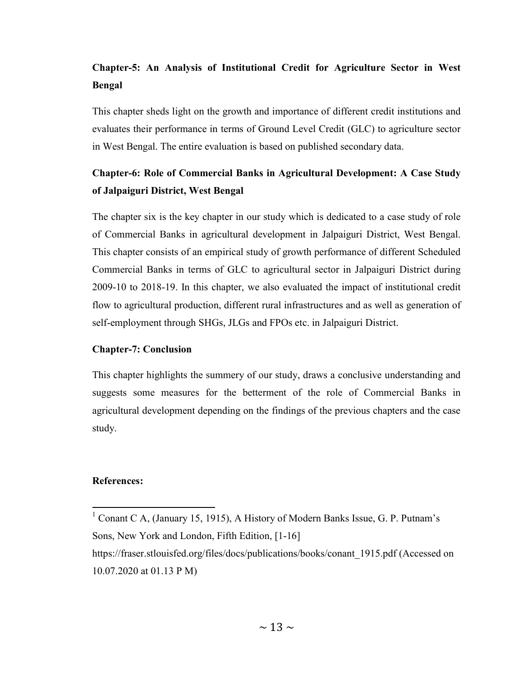# Chapter-5: An Analysis of Institutional Credit for Agriculture Sector in West Bengal

This chapter sheds light on the growth and importance of different credit institutions and evaluates their performance in terms of Ground Level Credit (GLC) to agriculture sector in West Bengal. The entire evaluation is based on published secondary data.

# Chapter-6: Role of Commercial Banks in Agricultural Development: A Case Study of Jalpaiguri District, West Bengal

The chapter six is the key chapter in our study which is dedicated to a case study of role of Commercial Banks in agricultural development in Jalpaiguri District, West Bengal. This chapter consists of an empirical study of growth performance of different Scheduled Commercial Banks in terms of GLC to agricultural sector in Jalpaiguri District during 2009-10 to 2018-19. In this chapter, we also evaluated the impact of institutional credit flow to agricultural production, different rural infrastructures and as well as generation of self-employment through SHGs, JLGs and FPOs etc. in Jalpaiguri District.

## Chapter-7: Conclusion

This chapter highlights the summery of our study, draws a conclusive understanding and suggests some measures for the betterment of the role of Commercial Banks in agricultural development depending on the findings of the previous chapters and the case study.

## References:

<sup>&</sup>lt;sup>1</sup> Conant C A, (January 15, 1915), A History of Modern Banks Issue, G. P. Putnam's Sons, New York and London, Fifth Edition, [1-16]

https://fraser.stlouisfed.org/files/docs/publications/books/conant\_1915.pdf (Accessed on 10.07.2020 at 01.13 P M)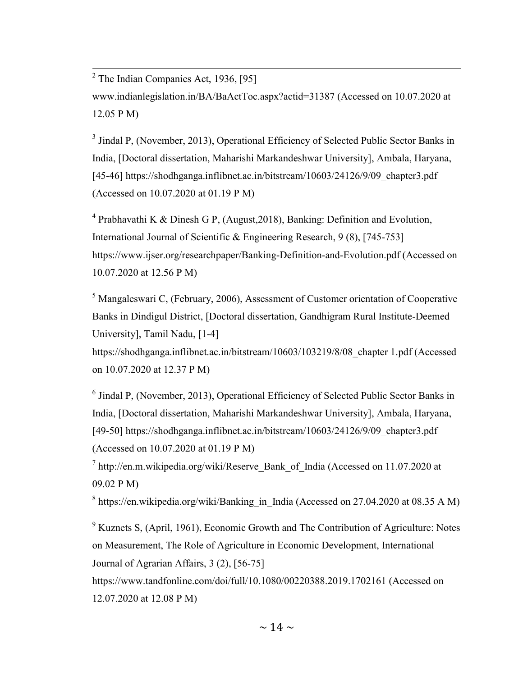<sup>2</sup> The Indian Companies Act, 1936, [95] www.indianlegislation.in/BA/BaActToc.aspx?actid=31387 (Accessed on 10.07.2020 at 12.05 P M)

<sup>3</sup> Jindal P, (November, 2013), Operational Efficiency of Selected Public Sector Banks in India, [Doctoral dissertation, Maharishi Markandeshwar University], Ambala, Haryana, [45-46] https://shodhganga.inflibnet.ac.in/bitstream/10603/24126/9/09\_chapter3.pdf (Accessed on 10.07.2020 at 01.19 P M)

<sup>4</sup> Prabhavathi K & Dinesh G P, (August, 2018), Banking: Definition and Evolution, International Journal of Scientific & Engineering Research, 9 (8), [745-753] https://www.ijser.org/researchpaper/Banking-Definition-and-Evolution.pdf (Accessed on 10.07.2020 at 12.56 P M)

 $<sup>5</sup>$  Mangaleswari C, (February, 2006), Assessment of Customer orientation of Cooperative</sup> Banks in Dindigul District, [Doctoral dissertation, Gandhigram Rural Institute-Deemed University], Tamil Nadu, [1-4]

https://shodhganga.inflibnet.ac.in/bitstream/10603/103219/8/08\_chapter 1.pdf (Accessed on 10.07.2020 at 12.37 P M)

 $<sup>6</sup>$  Jindal P, (November, 2013), Operational Efficiency of Selected Public Sector Banks in</sup> India, [Doctoral dissertation, Maharishi Markandeshwar University], Ambala, Haryana, [49-50] https://shodhganga.inflibnet.ac.in/bitstream/10603/24126/9/09\_chapter3.pdf (Accessed on 10.07.2020 at 01.19 P M)

 $^7$  http://en.m.wikipedia.org/wiki/Reserve Bank of India (Accessed on 11.07.2020 at 09.02 P M)

 $^8$  https://en.wikipedia.org/wiki/Banking\_in\_India (Accessed on 27.04.2020 at 08.35 A M)

 $9$  Kuznets S, (April, 1961), Economic Growth and The Contribution of Agriculture: Notes on Measurement, The Role of Agriculture in Economic Development, International Journal of Agrarian Affairs, 3 (2), [56-75]

https://www.tandfonline.com/doi/full/10.1080/00220388.2019.1702161 (Accessed on 12.07.2020 at 12.08 P M)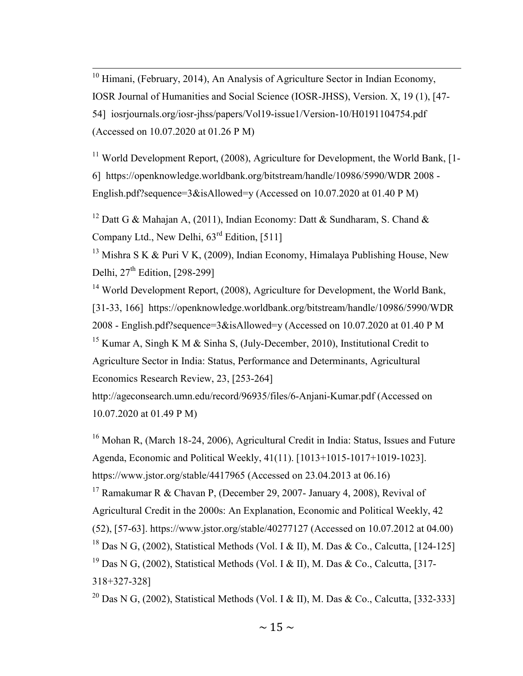$10$  Himani, (February, 2014), An Analysis of Agriculture Sector in Indian Economy, IOSR Journal of Humanities and Social Science (IOSR-JHSS), Version. X, 19 (1), [47- 54] iosrjournals.org/iosr-jhss/papers/Vol19-issue1/Version-10/H0191104754.pdf (Accessed on 10.07.2020 at 01.26 P M)

<sup>11</sup> World Development Report,  $(2008)$ , Agriculture for Development, the World Bank, [1-6] https://openknowledge.worldbank.org/bitstream/handle/10986/5990/WDR 2008 - English.pdf?sequence= $3\&$ isAllowed=y (Accessed on 10.07.2020 at 01.40 P M)

<sup>12</sup> Datt G & Mahajan A, (2011), Indian Economy: Datt & Sundharam, S. Chand & Company Ltd., New Delhi,  $63<sup>rd</sup>$  Edition, [511]

<sup>13</sup> Mishra S K & Puri V K, (2009), Indian Economy, Himalaya Publishing House, New Delhi,  $27<sup>th</sup>$  Edition, [298-299]

<sup>14</sup> World Development Report, (2008), Agriculture for Development, the World Bank, [31-33, 166] https://openknowledge.worldbank.org/bitstream/handle/10986/5990/WDR 2008 - English.pdf?sequence=3&isAllowed=y (Accessed on 10.07.2020 at 01.40 P M <sup>15</sup> Kumar A, Singh K M & Sinha S, (July-December, 2010), Institutional Credit to Agriculture Sector in India: Status, Performance and Determinants, Agricultural Economics Research Review, 23, [253-264]

http://ageconsearch.umn.edu/record/96935/files/6-Anjani-Kumar.pdf (Accessed on 10.07.2020 at 01.49 P M)

<sup>16</sup> Mohan R, (March 18-24, 2006), Agricultural Credit in India: Status, Issues and Future Agenda, Economic and Political Weekly, 41(11). [1013+1015-1017+1019-1023].

https://www.jstor.org/stable/4417965 (Accessed on 23.04.2013 at 06.16)

<sup>17</sup> Ramakumar R & Chavan P, (December 29, 2007- January 4, 2008), Revival of Agricultural Credit in the 2000s: An Explanation, Economic and Political Weekly, 42 (52), [57-63]. https://www.jstor.org/stable/40277127 (Accessed on 10.07.2012 at 04.00) <sup>18</sup> Das N G, (2002), Statistical Methods (Vol. I & II), M. Das & Co., Calcutta, [124-125]

<sup>19</sup> Das N G, (2002), Statistical Methods (Vol. I & II), M. Das & Co., Calcutta, [317-318+327-328]

<sup>20</sup> Das N G, (2002), Statistical Methods (Vol. I & II), M. Das & Co., Calcutta, [332-333]